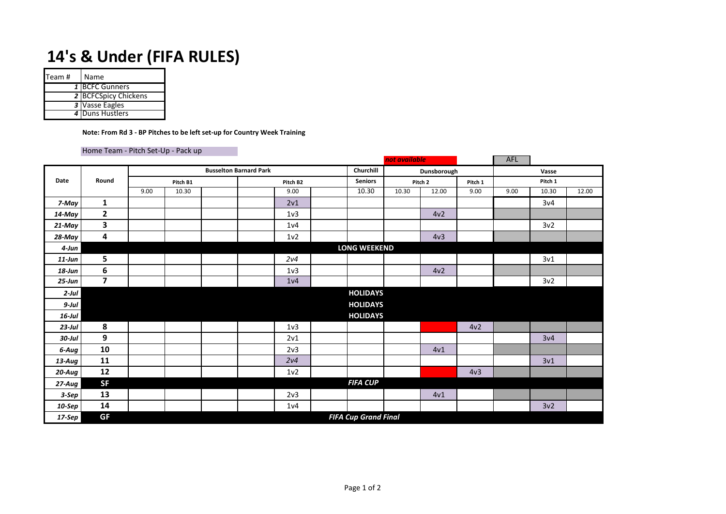## **14's & Under (FIFA RULES)**

| Team # | Name                        |
|--------|-----------------------------|
|        | 1 BCFC Gunners              |
|        | <b>2 BCFCSpicy Chickens</b> |
|        | 3 Vasse Eagles              |
|        | 4 Duns Hustlers             |

## **Note: From Rd 3 - BP Pitches to be left set-up for Country Week Training**

## Home Team - Pitch Set-Up - Pack up

|            |              |                                            |          |  |          |                  |  |                 | not available |                 |                 | AFL     |                 |       |
|------------|--------------|--------------------------------------------|----------|--|----------|------------------|--|-----------------|---------------|-----------------|-----------------|---------|-----------------|-------|
| Date       | Round        | Churchill<br><b>Busselton Barnard Park</b> |          |  |          |                  |  |                 |               | Dunsborough     |                 | Vasse   |                 |       |
|            |              |                                            | Pitch B1 |  | Pitch B2 |                  |  | <b>Seniors</b>  | Pitch 2       |                 | Pitch 1         | Pitch 1 |                 |       |
|            |              | 9.00                                       | 10.30    |  |          | 9.00             |  | 10.30           | 10.30         | 12.00           | 9.00            | 9.00    | 10.30           | 12.00 |
| 7-May      | $\mathbf{1}$ |                                            |          |  |          | 2v1              |  |                 |               |                 |                 |         | 3v4             |       |
| 14-May     | $\mathbf{2}$ |                                            |          |  |          | 1 <sub>v</sub> 3 |  |                 |               | 4v <sub>2</sub> |                 |         |                 |       |
| 21-May     | 3            |                                            |          |  |          | 1 <sub>v</sub> 4 |  |                 |               |                 |                 |         | 3v <sub>2</sub> |       |
| $28$ -May  | 4            |                                            |          |  |          | 1 <sub>v</sub> 2 |  |                 |               | 4v <sub>3</sub> |                 |         |                 |       |
| 4-Jun      |              | <b>LONG WEEKEND</b>                        |          |  |          |                  |  |                 |               |                 |                 |         |                 |       |
| $11$ -Jun  | 5            |                                            |          |  |          | 2v4              |  |                 |               |                 |                 |         | 3v1             |       |
| $18$ -Jun  | 6            |                                            |          |  |          | 1 <sub>v</sub> 3 |  |                 |               | 4v2             |                 |         |                 |       |
| $25 - Jun$ | 7            |                                            |          |  |          | 1 <sub>v</sub> 4 |  |                 |               |                 |                 |         | 3v2             |       |
| $2$ -Jul   |              |                                            |          |  |          |                  |  | <b>HOLIDAYS</b> |               |                 |                 |         |                 |       |
| $9$ -Jul   |              |                                            |          |  |          |                  |  | <b>HOLIDAYS</b> |               |                 |                 |         |                 |       |
| $16$ -Jul  |              |                                            |          |  |          |                  |  | <b>HOLIDAYS</b> |               |                 |                 |         |                 |       |
| $23$ -Jul  | 8            |                                            |          |  |          | 1 <sub>v</sub> 3 |  |                 |               |                 | 4v2             |         |                 |       |
| $30$ -Jul  | 9            |                                            |          |  |          | 2v1              |  |                 |               |                 |                 |         | 3v4             |       |
| 6-Aug      | 10           |                                            |          |  |          | 2v3              |  |                 |               | 4v1             |                 |         |                 |       |
| $13$ -Aug  | 11           |                                            |          |  |          | 2v4              |  |                 |               |                 |                 |         | 3v1             |       |
| 20-Aug     | 12           |                                            |          |  |          | 1 <sub>v</sub> 2 |  |                 |               |                 | 4v <sub>3</sub> |         |                 |       |
| 27-Aug     | <b>SF</b>    |                                            |          |  |          |                  |  | <b>FIFA CUP</b> |               |                 |                 |         |                 |       |
| $3-Sep$    | 13           |                                            |          |  |          | 2 <sub>v</sub> 3 |  |                 |               | 4v1             |                 |         |                 |       |
| 10-Sep     | 14           |                                            |          |  |          | 1 <sub>v</sub> 4 |  |                 |               |                 |                 |         | 3v2             |       |
| $17-$ Sep  | <b>GF</b>    | <b>FIFA Cup Grand Final</b>                |          |  |          |                  |  |                 |               |                 |                 |         |                 |       |